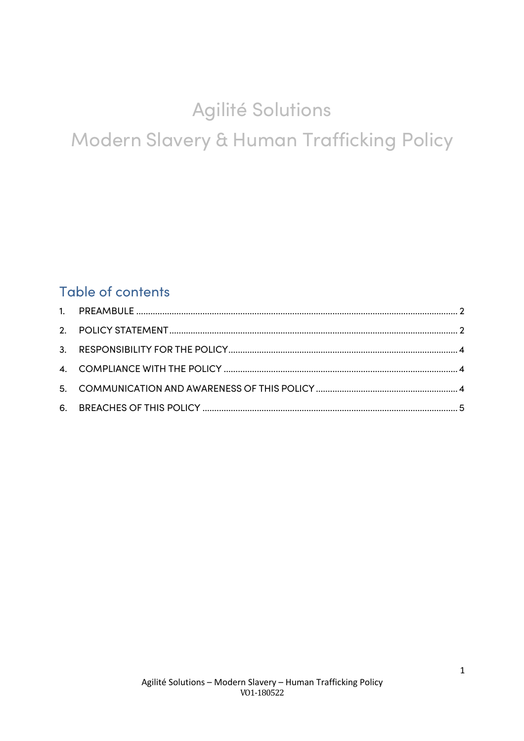# Agilité Solutions Modern Slavery & Human Trafficking Policy

# **Table of contents**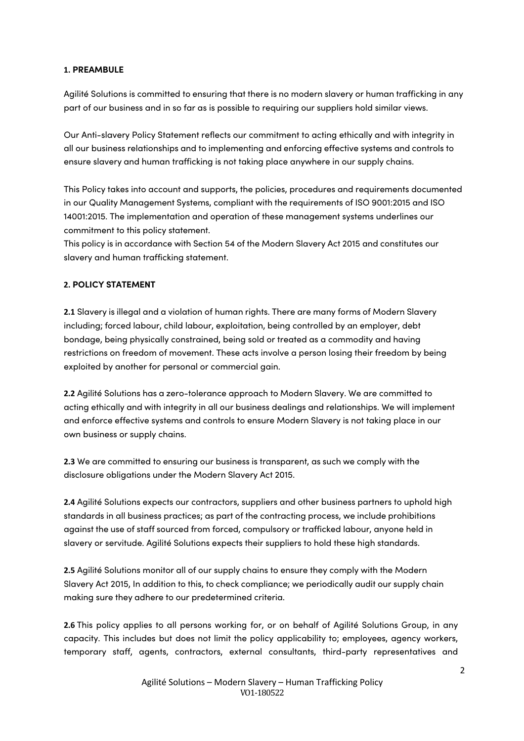#### **1. PREAMBULE**

Agilité Solutions is committed to ensuring that there is no modern slavery or human trafficking in any part of our business and in so far as is possible to requiring our suppliers hold similar views.

Our Anti-slavery Policy Statement reflects our commitment to acting ethically and with integrity in all our business relationships and to implementing and enforcing effective systems and controls to ensure slavery and human trafficking is not taking place anywhere in our supply chains.

This Policy takes into account and supports, the policies, procedures and requirements documented in our Quality Management Systems, compliant with the requirements of ISO 9001:2015 and ISO 14001:2015. The implementation and operation of these management systems underlines our commitment to this policy statement.

This policy is in accordance with Section 54 of the Modern Slavery Act 2015 and constitutes our slavery and human trafficking statement.

#### **2. POLICY STATEMENT**

**2.1** Slavery is illegal and a violation of human rights. There are many forms of Modern Slavery including; forced labour, child labour, exploitation, being controlled by an employer, debt bondage, being physically constrained, being sold or treated as a commodity and having restrictions on freedom of movement. These acts involve a person losing their freedom by being exploited by another for personal or commercial gain.

**2.2** Agilité Solutions has a zero-tolerance approach to Modern Slavery. We are committed to acting ethically and with integrity in all our business dealings and relationships. We will implement and enforce effective systems and controls to ensure Modern Slavery is not taking place in our own business or supply chains.

**2.3** We are committed to ensuring our business is transparent, as such we comply with the disclosure obligations under the Modern Slavery Act 2015.

**2.4** Agilité Solutions expects our contractors, suppliers and other business partners to uphold high standards in all business practices; as part of the contracting process, we include prohibitions against the use of staff sourced from forced, compulsory or trafficked labour, anyone held in slavery or servitude. Agilité Solutions expects their suppliers to hold these high standards.

**2.5** Agilité Solutions monitor all of our supply chains to ensure they comply with the Modern Slavery Act 2015, In addition to this, to check compliance; we periodically audit our supply chain making sure they adhere to our predetermined criteria.

**2.6** This policy applies to all persons working for, or on behalf of Agilité Solutions Group, in any capacity. This includes but does not limit the policy applicability to; employees, agency workers, temporary staff, agents, contractors, external consultants, third-party representatives and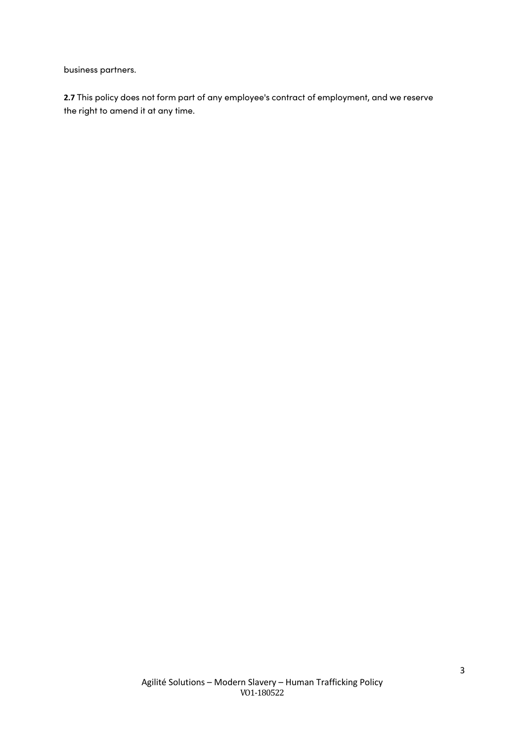business partners.

**2.7** This policy does not form part of any employee's contract of employment, and we reserve the right to amend it at any time.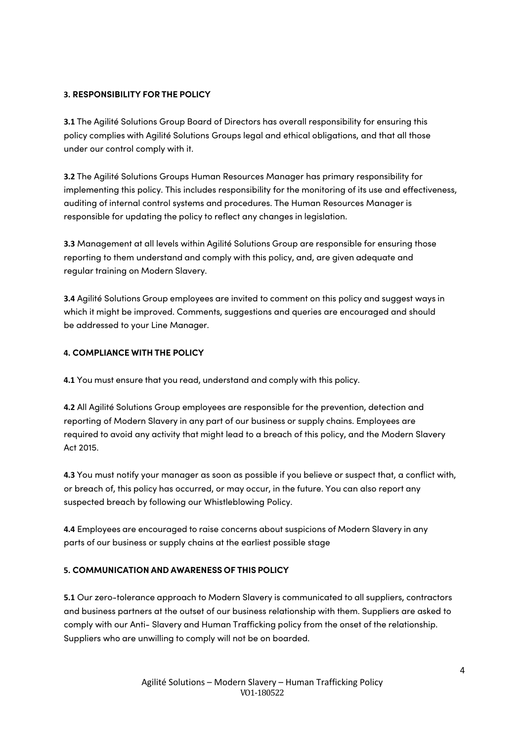#### **3. RESPONSIBILITY FOR THE POLICY**

**3.1** The Agilité Solutions Group Board of Directors has overall responsibility for ensuring this policy complies with Agilité Solutions Groups legal and ethical obligations, and that all those under our control comply with it.

**3.2** The Agilité Solutions Groups Human Resources Manager has primary responsibility for implementing this policy. This includes responsibility for the monitoring of its use and effectiveness, auditing of internal control systems and procedures. The Human Resources Manager is responsible for updating the policy to reflect any changes in legislation.

**3.3** Management at all levels within Agilité Solutions Group are responsible for ensuring those reporting to them understand and comply with this policy, and, are given adequate and regular training on Modern Slavery.

**3.4** Agilité Solutions Group employees are invited to comment on this policy and suggest ways in which it might be improved. Comments, suggestions and queries are encouraged and should be addressed to your Line Manager.

## **4. COMPLIANCE WITH THE POLICY**

**4.1** You must ensure that you read, understand and comply with this policy.

**4.2** All Agilité Solutions Group employees are responsible for the prevention, detection and reporting of Modern Slavery in any part of our business or supply chains. Employees are required to avoid any activity that might lead to a breach of this policy, and the Modern Slavery Act 2015.

**4.3** You must notify your manager as soon as possible if you believe or suspect that, a conflict with, or breach of, this policy has occurred, or may occur, in the future. You can also report any suspected breach by following our Whistleblowing Policy.

**4.4** Employees are encouraged to raise concerns about suspicions of Modern Slavery in any parts of our business or supply chains at the earliest possible stage

## **5. COMMUNICATION AND AWARENESS OF THIS POLICY**

**5.1** Our zero-tolerance approach to Modern Slavery is communicated to all suppliers, contractors and business partners at the outset of our business relationship with them. Suppliers are asked to comply with our Anti- Slavery and Human Trafficking policy from the onset of the relationship. Suppliers who are unwilling to comply will not be on boarded.